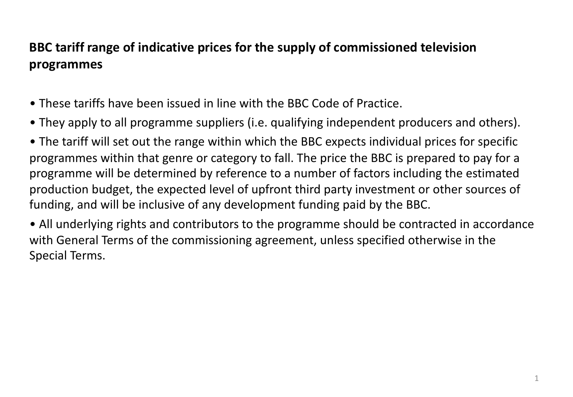# **BBC tariff range of indicative prices for the supply of commissioned television programmes**

- These tariffs have been issued in line with the BBC Code of Practice.
- They apply to all programme suppliers (i.e. qualifying independent producers and others).
- The tariff will set out the range within which the BBC expects individual prices for specific programmes within that genre or category to fall. The price the BBC is prepared to pay for a programme will be determined by reference to a number of factors including the estimated production budget, the expected level of upfront third party investment or other sources of funding, and will be inclusive of any development funding paid by the BBC.
- All underlying rights and contributors to the programme should be contracted in accordance with General Terms of the commissioning agreement, unless specified otherwise in the Special Terms.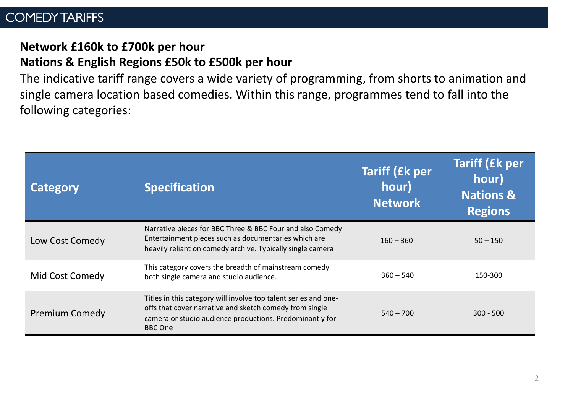## COMEDY TARIFFS

# **Network £160k to £700k per hour**

## **Nations & English Regions £50k to £500k per hour**

The indicative tariff range covers a wide variety of programming, from shorts to animation and single camera location based comedies. Within this range, programmes tend to fall into the following categories:

| Category              | <b>Specification</b>                                                                                                                                                                                     | <b>Tariff (£k per</b><br>hour)<br><b>Network</b> | <b>Tariff (£k per</b><br>hour)<br><b>Nations &amp;</b><br><b>Regions</b> |
|-----------------------|----------------------------------------------------------------------------------------------------------------------------------------------------------------------------------------------------------|--------------------------------------------------|--------------------------------------------------------------------------|
| Low Cost Comedy       | Narrative pieces for BBC Three & BBC Four and also Comedy<br>Entertainment pieces such as documentaries which are<br>heavily reliant on comedy archive. Typically single camera                          | $160 - 360$                                      | $50 - 150$                                                               |
| Mid Cost Comedy       | This category covers the breadth of mainstream comedy<br>both single camera and studio audience.                                                                                                         | $360 - 540$                                      | 150-300                                                                  |
| <b>Premium Comedy</b> | Titles in this category will involve top talent series and one-<br>offs that cover narrative and sketch comedy from single<br>camera or studio audience productions. Predominantly for<br><b>BBC</b> One | $540 - 700$                                      | $300 - 500$                                                              |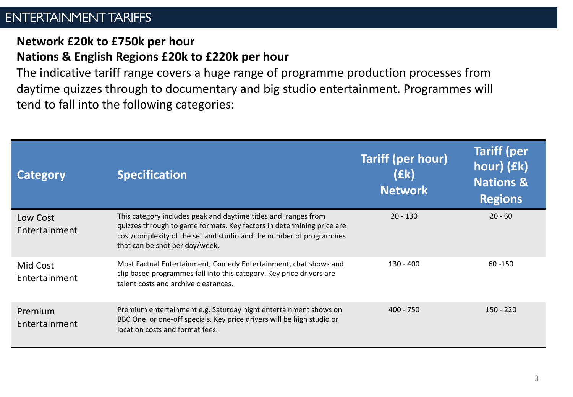## ENTERTAINMENT TARIFFS

## **Network £20k to £750k per hour Nations & English Regions £20k to £220k per hour**

The indicative tariff range covers a huge range of programme production processes from daytime quizzes through to documentary and big studio entertainment. Programmes will tend to fall into the following categories:

| <b>Category</b>           | <b>Specification</b>                                                                                                                                                                                                                            | <b>Tariff (per hour)</b><br>(£k)<br><b>Network</b> | <b>Tariff (per</b><br>hour) (£k)<br><b>Nations &amp;</b><br><b>Regions</b> |
|---------------------------|-------------------------------------------------------------------------------------------------------------------------------------------------------------------------------------------------------------------------------------------------|----------------------------------------------------|----------------------------------------------------------------------------|
| Low Cost<br>Entertainment | This category includes peak and daytime titles and ranges from<br>quizzes through to game formats. Key factors in determining price are<br>cost/complexity of the set and studio and the number of programmes<br>that can be shot per day/week. | $20 - 130$                                         | $20 - 60$                                                                  |
| Mid Cost<br>Entertainment | Most Factual Entertainment, Comedy Entertainment, chat shows and<br>clip based programmes fall into this category. Key price drivers are<br>talent costs and archive clearances.                                                                | $130 - 400$                                        | $60 - 150$                                                                 |
| Premium<br>Entertainment  | Premium entertainment e.g. Saturday night entertainment shows on<br>BBC One or one-off specials. Key price drivers will be high studio or<br>location costs and format fees.                                                                    | $400 - 750$                                        | $150 - 220$                                                                |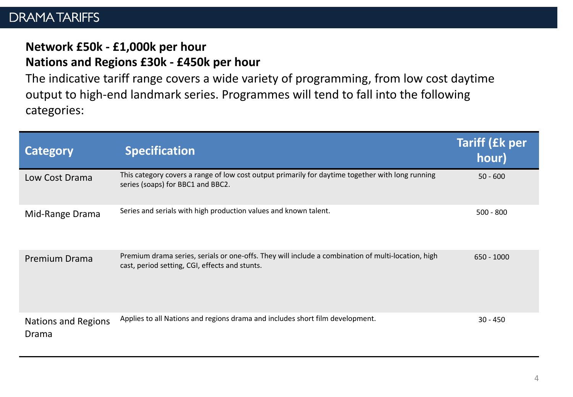## DRAMA TARIFFS

# **Network £50k - £1,000k per hour**

## **Nations and Regions £30k - £450k per hour**

The indicative tariff range covers a wide variety of programming, from low cost daytime output to high-end landmark series. Programmes will tend to fall into the following categories:

| <b>Category</b>                     | <b>Specification</b>                                                                                                                                 | <b>Tariff (£k per</b><br>hour) |
|-------------------------------------|------------------------------------------------------------------------------------------------------------------------------------------------------|--------------------------------|
| Low Cost Drama                      | This category covers a range of low cost output primarily for daytime together with long running<br>series (soaps) for BBC1 and BBC2.                | $50 - 600$                     |
| Mid-Range Drama                     | Series and serials with high production values and known talent.                                                                                     | $500 - 800$                    |
| <b>Premium Drama</b>                | Premium drama series, serials or one-offs. They will include a combination of multi-location, high<br>cast, period setting, CGI, effects and stunts. | $650 - 1000$                   |
| <b>Nations and Regions</b><br>Drama | Applies to all Nations and regions drama and includes short film development.                                                                        | $30 - 450$                     |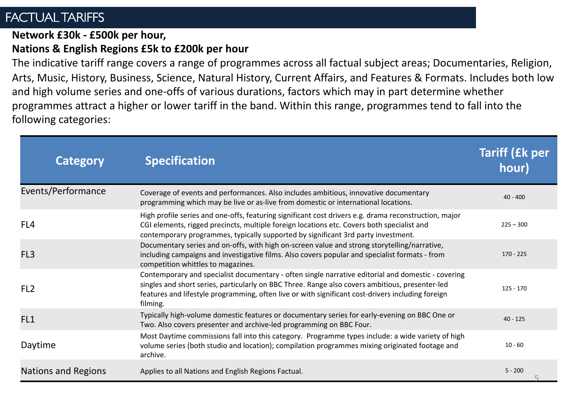## FACTUAL TARIFFS

#### **Network £30k - £500k per hour,**

### **Nations & English Regions £5k to £200k per hour**

The indicative tariff range covers a range of programmes across all factual subject areas; Documentaries, Religion, Arts, Music, History, Business, Science, Natural History, Current Affairs, and Features & Formats. Includes both low and high volume series and one-offs of various durations, factors which may in part determine whether programmes attract a higher or lower tariff in the band. Within this range, programmes tend to fall into the following categories:

| <b>Category</b>     | <b>Specification</b>                                                                                                                                                                                                                                                                                                   | <b>Tariff (£k per</b><br>hour) |
|---------------------|------------------------------------------------------------------------------------------------------------------------------------------------------------------------------------------------------------------------------------------------------------------------------------------------------------------------|--------------------------------|
| Events/Performance  | Coverage of events and performances. Also includes ambitious, innovative documentary<br>programming which may be live or as-live from domestic or international locations.                                                                                                                                             | $40 - 400$                     |
| FL4                 | High profile series and one-offs, featuring significant cost drivers e.g. drama reconstruction, major<br>CGI elements, rigged precincts, multiple foreign locations etc. Covers both specialist and<br>contemporary programmes, typically supported by significant 3rd party investment.                               | $225 - 300$                    |
| FL <sub>3</sub>     | Documentary series and on-offs, with high on-screen value and strong storytelling/narrative,<br>including campaigns and investigative films. Also covers popular and specialist formats - from<br>competition whittles to magazines.                                                                                   | $170 - 225$                    |
| FL <sub>2</sub>     | Contemporary and specialist documentary - often single narrative editorial and domestic - covering<br>singles and short series, particularly on BBC Three. Range also covers ambitious, presenter-led<br>features and lifestyle programming, often live or with significant cost-drivers including foreign<br>filming. | $125 - 170$                    |
| FL <sub>1</sub>     | Typically high-volume domestic features or documentary series for early-evening on BBC One or<br>Two. Also covers presenter and archive-led programming on BBC Four.                                                                                                                                                   | $40 - 125$                     |
| Daytime             | Most Daytime commissions fall into this category. Programme types include: a wide variety of high<br>volume series (both studio and location); compilation programmes mixing originated footage and<br>archive.                                                                                                        | $10 - 60$                      |
| Nations and Regions | Applies to all Nations and English Regions Factual.                                                                                                                                                                                                                                                                    | $5 - 200$                      |